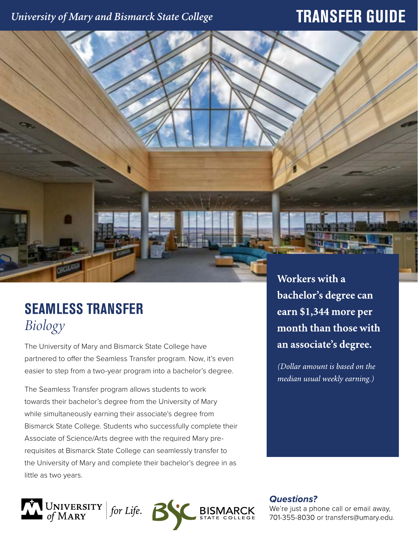### University of Mary and Bismarck State College

## **TRANSFER GUIDE**

# **SEAMLESS TRANSFER** *Biology*

The University of Mary and Bismarck State College have partnered to offer the Seamless Transfer program. Now, it's even easier to step from a two-year program into a bachelor's degree.

The Seamless Transfer program allows students to work towards their bachelor's degree from the University of Mary while simultaneously earning their associate's degree from Bismarck State College. Students who successfully complete their Associate of Science/Arts degree with the required Mary prerequisites at Bismarck State College can seamlessly transfer to the University of Mary and complete their bachelor's degree in as little as two years.



Workers with a bachelor's degree can earn \$1,344 more per month than those with an associate's degree.

(Dollar amount is based on the median usual weekly earning.)

**Questions?** 

We're just a phone call or email away, 701-355-8030 or transfers@umary.edu.